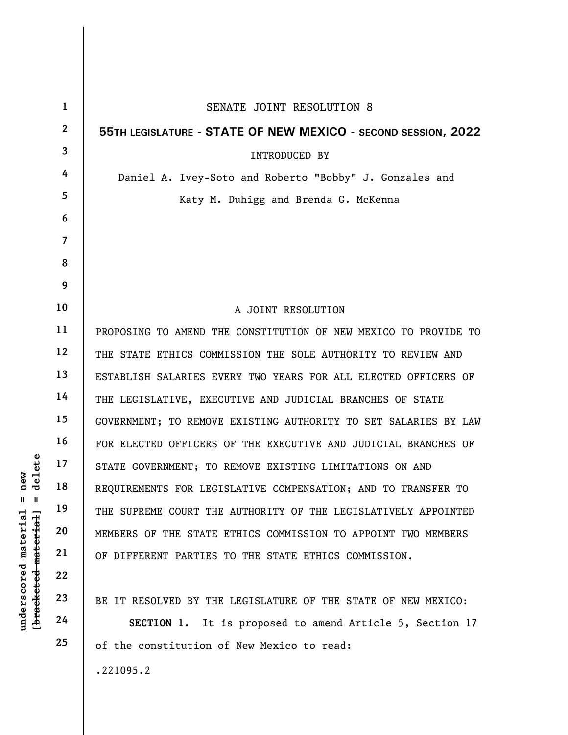|                                             | $\mathbf{1}$             | SENATE JOINT RESOLUTION 8                                       |
|---------------------------------------------|--------------------------|-----------------------------------------------------------------|
|                                             | $\boldsymbol{2}$         | 55TH LEGISLATURE - STATE OF NEW MEXICO - SECOND SESSION, 2022   |
|                                             | $\overline{3}$           | INTRODUCED BY                                                   |
|                                             | 4                        | Daniel A. Ivey-Soto and Roberto "Bobby" J. Gonzales and         |
|                                             | 5                        | Katy M. Duhigg and Brenda G. McKenna                            |
|                                             | 6                        |                                                                 |
|                                             | $\overline{\mathcal{L}}$ |                                                                 |
|                                             | 8                        |                                                                 |
|                                             | 9                        |                                                                 |
|                                             | 10                       | A JOINT RESOLUTION                                              |
|                                             | 11                       | PROPOSING TO AMEND THE CONSTITUTION OF NEW MEXICO TO PROVIDE TO |
|                                             | 12                       | THE STATE ETHICS COMMISSION THE SOLE AUTHORITY TO REVIEW AND    |
|                                             | 13                       | ESTABLISH SALARIES EVERY TWO YEARS FOR ALL ELECTED OFFICERS OF  |
|                                             | 14                       | THE LEGISLATIVE, EXECUTIVE AND JUDICIAL BRANCHES OF STATE       |
|                                             | 15                       | GOVERNMENT; TO REMOVE EXISTING AUTHORITY TO SET SALARIES BY LAW |
|                                             | 16                       | FOR ELECTED OFFICERS OF THE EXECUTIVE AND JUDICIAL BRANCHES OF  |
| delete                                      | 17                       | STATE GOVERNMENT; TO REMOVE EXISTING LIMITATIONS ON AND         |
| nev<br>Ш<br>Ш                               | 18                       | REQUIREMENTS FOR LEGISLATIVE COMPENSATION; AND TO TRANSFER TO   |
| underscored material<br>[bracketed material | 19                       | THE SUPREME COURT THE AUTHORITY OF THE LEGISLATIVELY APPOINTED  |
|                                             | 20                       | MEMBERS OF THE STATE ETHICS COMMISSION TO APPOINT TWO MEMBERS   |
|                                             | 21                       | OF DIFFERENT PARTIES TO THE STATE ETHICS COMMISSION.            |
|                                             | 22                       |                                                                 |
|                                             | 23                       | BE IT RESOLVED BY THE LEGISLATURE OF THE STATE OF NEW MEXICO:   |
|                                             | 24                       | SECTION 1. It is proposed to amend Article 5, Section 17        |
|                                             | 25                       | of the constitution of New Mexico to read:                      |
|                                             |                          | .221095.2                                                       |

 $\overline{\phantom{a}}$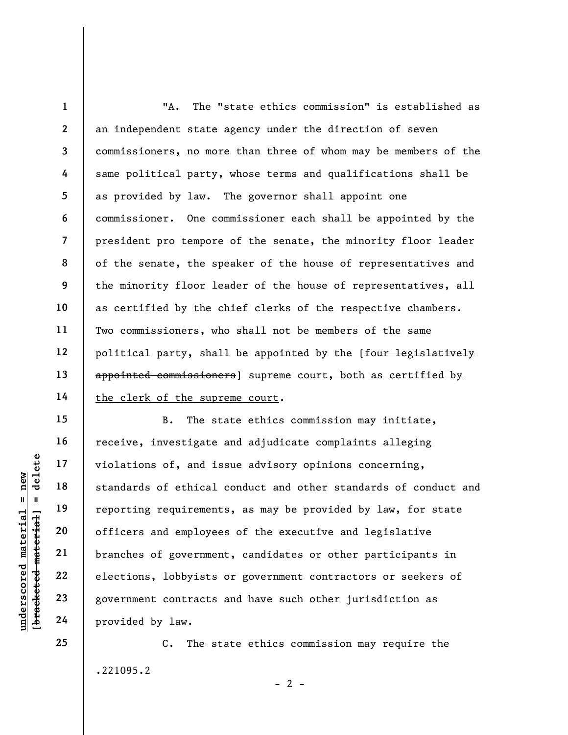1 2 3 4 5 6 7 8 9 10 11 12 13 14 "A. The "state ethics commission" is established as an independent state agency under the direction of seven commissioners, no more than three of whom may be members of the same political party, whose terms and qualifications shall be as provided by law. The governor shall appoint one commissioner. One commissioner each shall be appointed by the president pro tempore of the senate, the minority floor leader of the senate, the speaker of the house of representatives and the minority floor leader of the house of representatives, all as certified by the chief clerks of the respective chambers. Two commissioners, who shall not be members of the same political party, shall be appointed by the [four legislatively appointed commissioners] supreme court, both as certified by the clerk of the supreme court.

underscored material = new [bracketed material] = delete B. The state ethics commission may initiate, receive, investigate and adjudicate complaints alleging violations of, and issue advisory opinions concerning, standards of ethical conduct and other standards of conduct and reporting requirements, as may be provided by law, for state officers and employees of the executive and legislative branches of government, candidates or other participants in elections, lobbyists or government contractors or seekers of government contracts and have such other jurisdiction as provided by law.

> C. The state ethics commission may require the .221095.2

> > $- 2 -$

15

16

17

18

19

20

21

22

23

24

25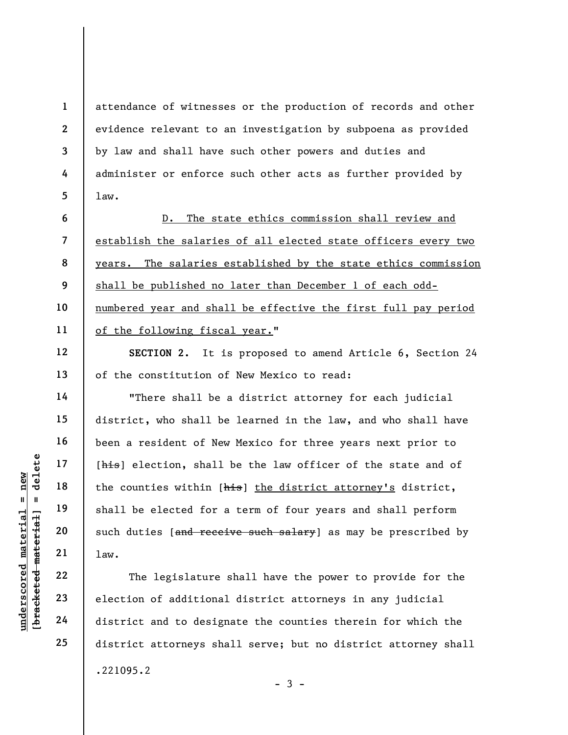attendance of witnesses or the production of records and other evidence relevant to an investigation by subpoena as provided by law and shall have such other powers and duties and administer or enforce such other acts as further provided by law.

6 7 8 9 10 11 D. The state ethics commission shall review and establish the salaries of all elected state officers every two years. The salaries established by the state ethics commission shall be published no later than December 1 of each oddnumbered year and shall be effective the first full pay period of the following fiscal year."

SECTION 2. It is proposed to amend Article 6, Section 24 of the constitution of New Mexico to read:

understand material material of the counties within [<br>
shall be elected for<br>
shall be elected for<br>
such duties [and rece<br>
value of all law.<br>
The legislature<br>
23<br>
24<br>
district and to designal "There shall be a district attorney for each judicial district, who shall be learned in the law, and who shall have been a resident of New Mexico for three years next prior to [his] election, shall be the law officer of the state and of the counties within [his] the district attorney's district, shall be elected for a term of four years and shall perform such duties [and receive such salary] as may be prescribed by law.

The legislature shall have the power to provide for the election of additional district attorneys in any judicial district and to designate the counties therein for which the district attorneys shall serve; but no district attorney shall .221095.2  $-3 -$ 

1

2

3

4

5

12

13

14

15

16

17

18

19

20

21

22

23

24

25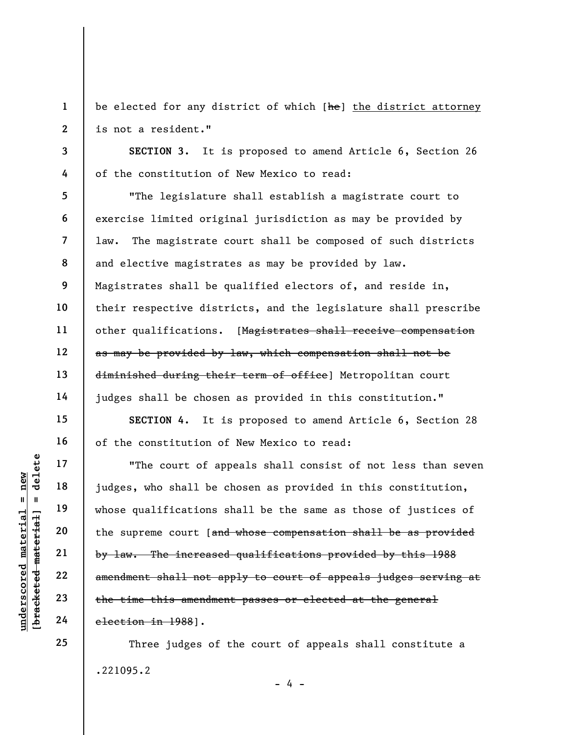be elected for any district of which [he] the district attorney is not a resident."

SECTION 3. It is proposed to amend Article 6, Section 26 of the constitution of New Mexico to read:

"The legislature shall establish a magistrate court to exercise limited original jurisdiction as may be provided by law. The magistrate court shall be composed of such districts and elective magistrates as may be provided by law. Magistrates shall be qualified electors of, and reside in, their respective districts, and the legislature shall prescribe other qualifications. [Magistrates shall receive compensation as may be provided by law, which compensation shall not be diminished during their term of office] Metropolitan court judges shall be chosen as provided in this constitution."

SECTION 4. It is proposed to amend Article 6, Section 28 of the constitution of New Mexico to read:

underscored material = new [bracketed material] = delete "The court of appeals shall consist of not less than seven judges, who shall be chosen as provided in this constitution, whose qualifications shall be the same as those of justices of the supreme court [and whose compensation shall be as provided by law. The increased qualifications provided by this 1988 amendment shall not apply to court of appeals judges serving at the time this amendment passes or elected at the general election in 1988].

> Three judges of the court of appeals shall constitute a .221095.2

> > $- 4 -$

1

2

3

4

5

6

7

8

9

10

11

12

13

14

15

16

17

18

19

20

21

22

23

24

25